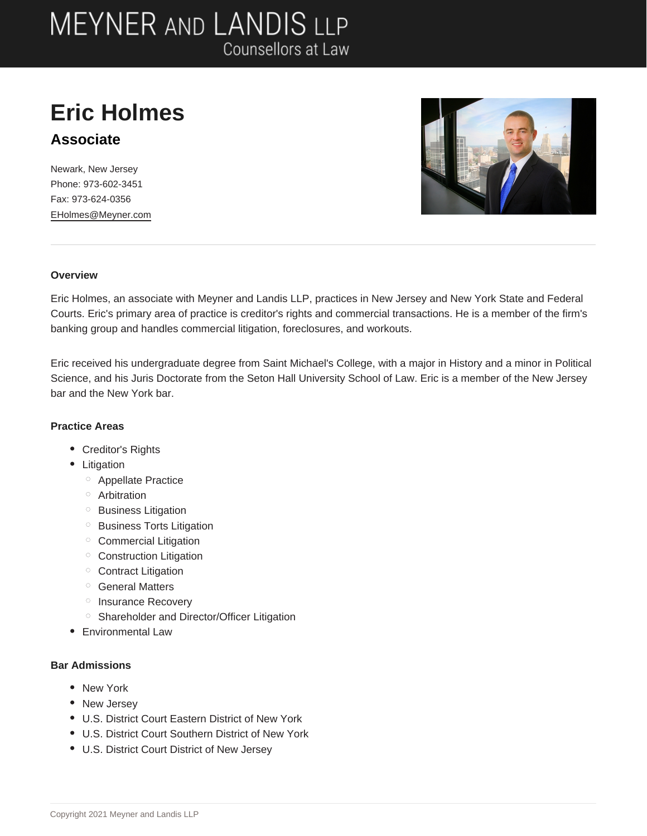## **MEYNER AND LANDIS LLP** Counsellors at Law

### **Eric Holmes Associate**

Newark, New Jersey Phone: 973-602-3451 Fax: 973-624-0356 EHolmes@Meyner.com



#### **Overview**

Eric Holmes, an associate with Meyner and Landis LLP, practices in New Jersey and New York State and Federal Courts. Eric's primary area of practice is creditor's rights and commercial transactions. He is a member of the firm's banking group and handles commercial litigation, foreclosures, and workouts.

Eric received his undergraduate degree from Saint Michael's College, with a major in History and a minor in Political Science, and his Juris Doctorate from the Seton Hall University School of Law. Eric is a member of the New Jersey bar and the New York bar.

#### **Practice Areas**

- Creditor's Rights
- Litigation
	- Appellate Practice
	- <sup>o</sup> Arbitration
	- <sup>o</sup> Business Litigation
	- <sup>o</sup> Business Torts Litigation
	- Commercial Litigation
	- <sup>o</sup> Construction Litigation
	- <sup>o</sup> Contract Litigation
	- <sup>o</sup> General Matters
	- <sup>o</sup> Insurance Recovery
	- <sup>o</sup> Shareholder and Director/Officer Litigation
- Environmental Law

### **Bar Admissions**

- New York
- New Jersey
- U.S. District Court Eastern District of New York
- U.S. District Court Southern District of New York
- U.S. District Court District of New Jersey